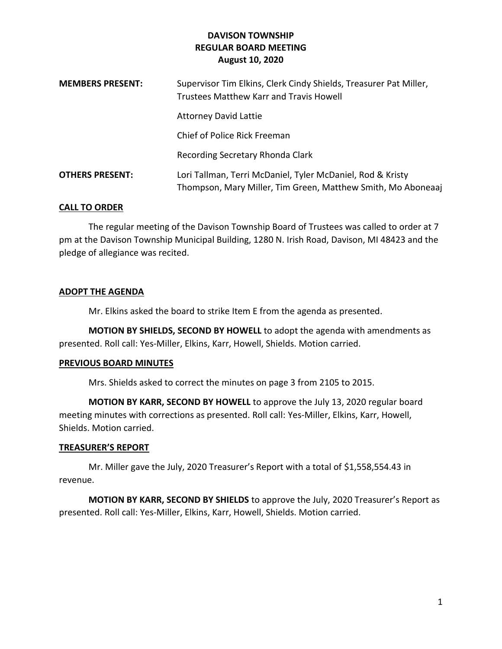| <b>MEMBERS PRESENT:</b> | Supervisor Tim Elkins, Clerk Cindy Shields, Treasurer Pat Miller,<br><b>Trustees Matthew Karr and Travis Howell</b>        |
|-------------------------|----------------------------------------------------------------------------------------------------------------------------|
|                         | <b>Attorney David Lattie</b>                                                                                               |
|                         | Chief of Police Rick Freeman                                                                                               |
|                         | Recording Secretary Rhonda Clark                                                                                           |
| <b>OTHERS PRESENT:</b>  | Lori Tallman, Terri McDaniel, Tyler McDaniel, Rod & Kristy<br>Thompson, Mary Miller, Tim Green, Matthew Smith, Mo Aboneaaj |

## **CALL TO ORDER**

The regular meeting of the Davison Township Board of Trustees was called to order at 7 pm at the Davison Township Municipal Building, 1280 N. Irish Road, Davison, MI 48423 and the pledge of allegiance was recited.

#### **ADOPT THE AGENDA**

Mr. Elkins asked the board to strike Item E from the agenda as presented.

**MOTION BY SHIELDS, SECOND BY HOWELL** to adopt the agenda with amendments as presented. Roll call: Yes-Miller, Elkins, Karr, Howell, Shields. Motion carried.

#### **PREVIOUS BOARD MINUTES**

Mrs. Shields asked to correct the minutes on page 3 from 2105 to 2015.

**MOTION BY KARR, SECOND BY HOWELL** to approve the July 13, 2020 regular board meeting minutes with corrections as presented. Roll call: Yes-Miller, Elkins, Karr, Howell, Shields. Motion carried.

#### **TREASURER'S REPORT**

Mr. Miller gave the July, 2020 Treasurer's Report with a total of \$1,558,554.43 in revenue.

**MOTION BY KARR, SECOND BY SHIELDS** to approve the July, 2020 Treasurer's Report as presented. Roll call: Yes-Miller, Elkins, Karr, Howell, Shields. Motion carried.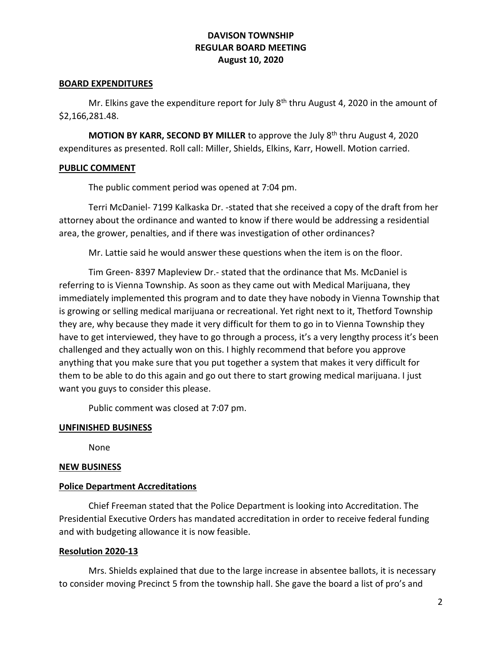#### **BOARD EXPENDITURES**

Mr. Elkins gave the expenditure report for July  $8<sup>th</sup>$  thru August 4, 2020 in the amount of \$2,166,281.48.

**MOTION BY KARR, SECOND BY MILLER** to approve the July 8<sup>th</sup> thru August 4, 2020 expenditures as presented. Roll call: Miller, Shields, Elkins, Karr, Howell. Motion carried.

## **PUBLIC COMMENT**

The public comment period was opened at 7:04 pm.

Terri McDaniel- 7199 Kalkaska Dr. -stated that she received a copy of the draft from her attorney about the ordinance and wanted to know if there would be addressing a residential area, the grower, penalties, and if there was investigation of other ordinances?

Mr. Lattie said he would answer these questions when the item is on the floor.

Tim Green- 8397 Mapleview Dr.- stated that the ordinance that Ms. McDaniel is referring to is Vienna Township. As soon as they came out with Medical Marijuana, they immediately implemented this program and to date they have nobody in Vienna Township that is growing or selling medical marijuana or recreational. Yet right next to it, Thetford Township they are, why because they made it very difficult for them to go in to Vienna Township they have to get interviewed, they have to go through a process, it's a very lengthy process it's been challenged and they actually won on this. I highly recommend that before you approve anything that you make sure that you put together a system that makes it very difficult for them to be able to do this again and go out there to start growing medical marijuana. I just want you guys to consider this please.

Public comment was closed at 7:07 pm.

# **UNFINISHED BUSINESS**

None

## **NEW BUSINESS**

# **Police Department Accreditations**

Chief Freeman stated that the Police Department is looking into Accreditation. The Presidential Executive Orders has mandated accreditation in order to receive federal funding and with budgeting allowance it is now feasible.

## **Resolution 2020-13**

Mrs. Shields explained that due to the large increase in absentee ballots, it is necessary to consider moving Precinct 5 from the township hall. She gave the board a list of pro's and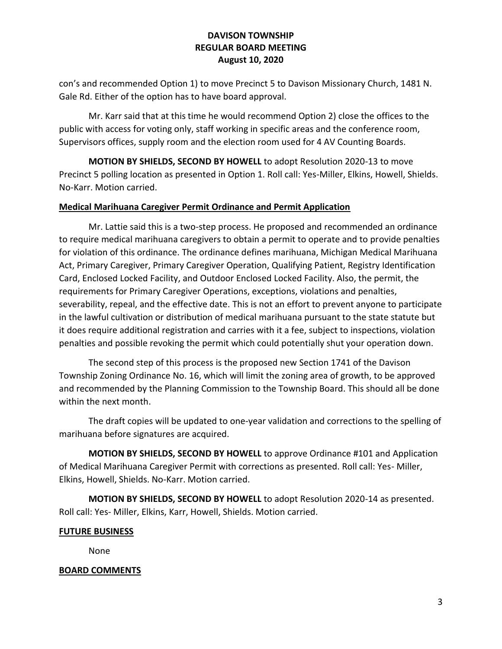con's and recommended Option 1) to move Precinct 5 to Davison Missionary Church, 1481 N. Gale Rd. Either of the option has to have board approval.

Mr. Karr said that at this time he would recommend Option 2) close the offices to the public with access for voting only, staff working in specific areas and the conference room, Supervisors offices, supply room and the election room used for 4 AV Counting Boards.

**MOTION BY SHIELDS, SECOND BY HOWELL** to adopt Resolution 2020-13 to move Precinct 5 polling location as presented in Option 1. Roll call: Yes-Miller, Elkins, Howell, Shields. No-Karr. Motion carried.

## **Medical Marihuana Caregiver Permit Ordinance and Permit Application**

Mr. Lattie said this is a two-step process. He proposed and recommended an ordinance to require medical marihuana caregivers to obtain a permit to operate and to provide penalties for violation of this ordinance. The ordinance defines marihuana, Michigan Medical Marihuana Act, Primary Caregiver, Primary Caregiver Operation, Qualifying Patient, Registry Identification Card, Enclosed Locked Facility, and Outdoor Enclosed Locked Facility. Also, the permit, the requirements for Primary Caregiver Operations, exceptions, violations and penalties, severability, repeal, and the effective date. This is not an effort to prevent anyone to participate in the lawful cultivation or distribution of medical marihuana pursuant to the state statute but it does require additional registration and carries with it a fee, subject to inspections, violation penalties and possible revoking the permit which could potentially shut your operation down.

The second step of this process is the proposed new Section 1741 of the Davison Township Zoning Ordinance No. 16, which will limit the zoning area of growth, to be approved and recommended by the Planning Commission to the Township Board. This should all be done within the next month.

The draft copies will be updated to one-year validation and corrections to the spelling of marihuana before signatures are acquired.

**MOTION BY SHIELDS, SECOND BY HOWELL** to approve Ordinance #101 and Application of Medical Marihuana Caregiver Permit with corrections as presented. Roll call: Yes- Miller, Elkins, Howell, Shields. No-Karr. Motion carried.

**MOTION BY SHIELDS, SECOND BY HOWELL** to adopt Resolution 2020-14 as presented. Roll call: Yes- Miller, Elkins, Karr, Howell, Shields. Motion carried.

## **FUTURE BUSINESS**

None

## **BOARD COMMENTS**